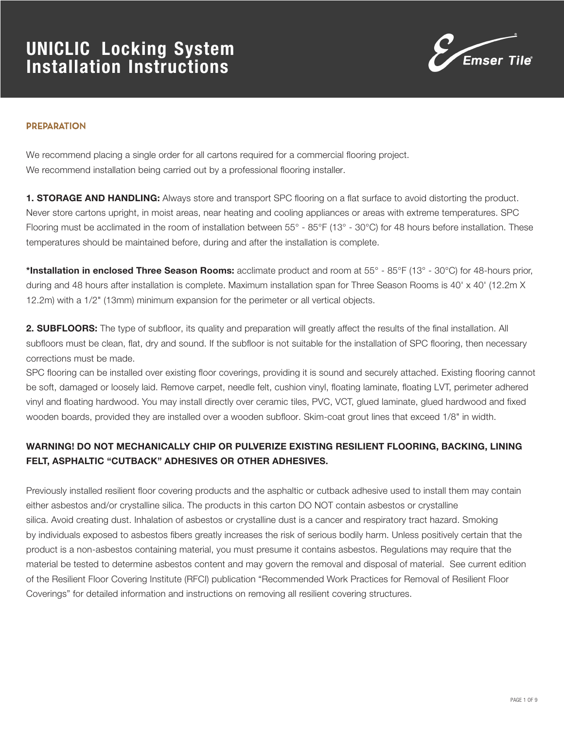

#### **PREPARATION**

We recommend placing a single order for all cartons required for a commercial flooring project. We recommend installation being carried out by a professional flooring installer.

1. STORAGE AND HANDLING: Always store and transport SPC flooring on a flat surface to avoid distorting the product. Never store cartons upright, in moist areas, near heating and cooling appliances or areas with extreme temperatures. SPC Flooring must be acclimated in the room of installation between 55° - 85°F (13° - 30°C) for 48 hours before installation. These temperatures should be maintained before, during and after the installation is complete.

\*Installation in enclosed Three Season Rooms: acclimate product and room at 55° - 85°F (13° - 30°C) for 48-hours prior, during and 48 hours after installation is complete. Maximum installation span for Three Season Rooms is 40' x 40' (12.2m X 12.2m) with a 1/2" (13mm) minimum expansion for the perimeter or all vertical objects.

2. SUBFLOORS: The type of subfloor, its quality and preparation will greatly affect the results of the final installation. All subfloors must be clean, flat, dry and sound. If the subfloor is not suitable for the installation of SPC flooring, then necessary corrections must be made.

SPC flooring can be installed over existing floor coverings, providing it is sound and securely attached. Existing flooring cannot be soft, damaged or loosely laid. Remove carpet, needle felt, cushion vinyl, floating laminate, floating LVT, perimeter adhered vinyl and floating hardwood. You may install directly over ceramic tiles, PVC, VCT, glued laminate, glued hardwood and fixed wooden boards, provided they are installed over a wooden subfloor. Skim-coat grout lines that exceed 1/8" in width.

### WARNING! DO NOT MECHANICALLY CHIP OR PULVERIZE EXISTING RESILIENT FLOORING, BACKING, LINING FELT, ASPHALTIC "CUTBACK" ADHESIVES OR OTHER ADHESIVES.

Previously installed resilient floor covering products and the asphaltic or cutback adhesive used to install them may contain either asbestos and/or crystalline silica. The products in this carton DO NOT contain asbestos or crystalline silica. Avoid creating dust. Inhalation of asbestos or crystalline dust is a cancer and respiratory tract hazard. Smoking by individuals exposed to asbestos fibers greatly increases the risk of serious bodily harm. Unless positively certain that the product is a non-asbestos containing material, you must presume it contains asbestos. Regulations may require that the material be tested to determine asbestos content and may govern the removal and disposal of material. See current edition of the Resilient Floor Covering Institute (RFCI) publication "Recommended Work Practices for Removal of Resilient Floor Coverings" for detailed information and instructions on removing all resilient covering structures.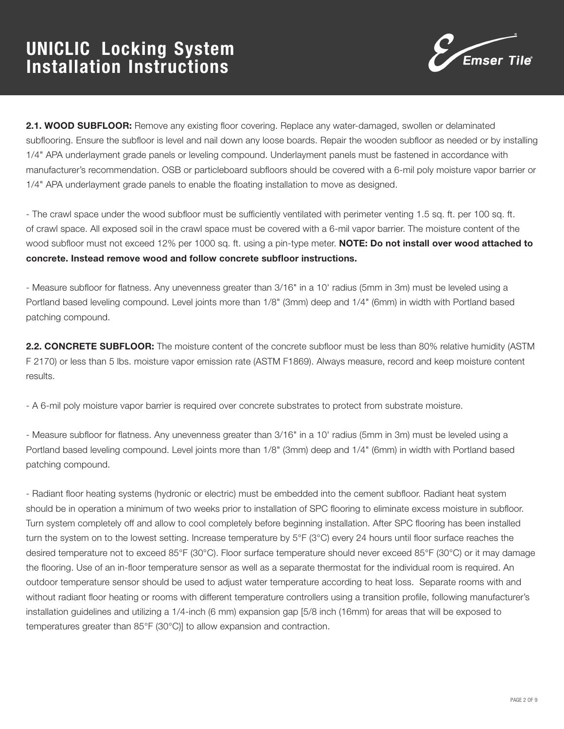

2.1. WOOD SUBFLOOR: Remove any existing floor covering. Replace any water-damaged, swollen or delaminated subflooring. Ensure the subfloor is level and nail down any loose boards. Repair the wooden subfloor as needed or by installing 1/4" APA underlayment grade panels or leveling compound. Underlayment panels must be fastened in accordance with manufacturer's recommendation. OSB or particleboard subfloors should be covered with a 6-mil poly moisture vapor barrier or 1/4" APA underlayment grade panels to enable the floating installation to move as designed.

- The crawl space under the wood subfloor must be sufficiently ventilated with perimeter venting 1.5 sq. ft. per 100 sq. ft. of crawl space. All exposed soil in the crawl space must be covered with a 6-mil vapor barrier. The moisture content of the wood subfloor must not exceed 12% per 1000 sq. ft. using a pin-type meter. NOTE: Do not install over wood attached to concrete. Instead remove wood and follow concrete subfloor instructions.

- Measure subfloor for flatness. Any unevenness greater than 3/16" in a 10' radius (5mm in 3m) must be leveled using a Portland based leveling compound. Level joints more than 1/8" (3mm) deep and 1/4" (6mm) in width with Portland based patching compound.

2.2. CONCRETE SUBFLOOR: The moisture content of the concrete subfloor must be less than 80% relative humidity (ASTM F 2170) or less than 5 lbs. moisture vapor emission rate (ASTM F1869). Always measure, record and keep moisture content results.

- A 6-mil poly moisture vapor barrier is required over concrete substrates to protect from substrate moisture.

- Measure subfloor for flatness. Any unevenness greater than 3/16" in a 10' radius (5mm in 3m) must be leveled using a Portland based leveling compound. Level joints more than 1/8" (3mm) deep and 1/4" (6mm) in width with Portland based patching compound.

- Radiant floor heating systems (hydronic or electric) must be embedded into the cement subfloor. Radiant heat system should be in operation a minimum of two weeks prior to installation of SPC flooring to eliminate excess moisture in subfloor. Turn system completely off and allow to cool completely before beginning installation. After SPC flooring has been installed turn the system on to the lowest setting. Increase temperature by 5°F (3°C) every 24 hours until floor surface reaches the desired temperature not to exceed 85°F (30°C). Floor surface temperature should never exceed 85°F (30°C) or it may damage the flooring. Use of an in-floor temperature sensor as well as a separate thermostat for the individual room is required. An outdoor temperature sensor should be used to adjust water temperature according to heat loss. Separate rooms with and without radiant floor heating or rooms with different temperature controllers using a transition profile, following manufacturer's installation guidelines and utilizing a 1/4-inch (6 mm) expansion gap [5/8 inch (16mm) for areas that will be exposed to temperatures greater than 85°F (30°C)] to allow expansion and contraction.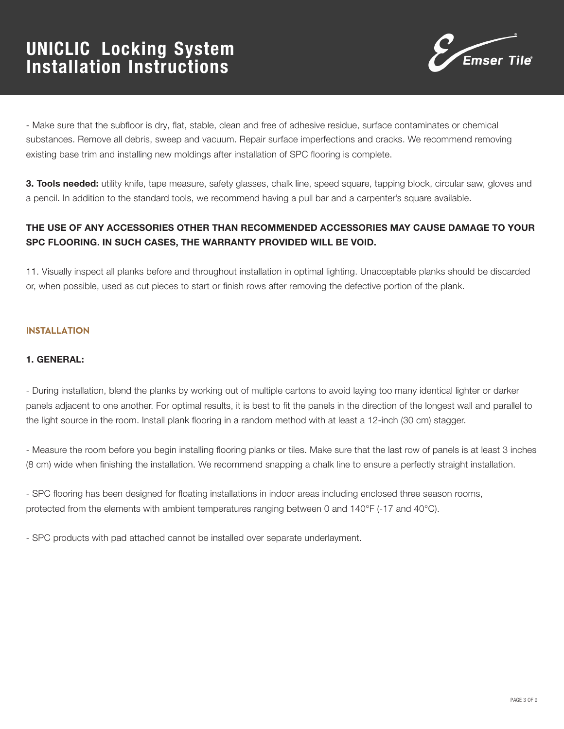

- Make sure that the subfloor is dry, flat, stable, clean and free of adhesive residue, surface contaminates or chemical substances. Remove all debris, sweep and vacuum. Repair surface imperfections and cracks. We recommend removing existing base trim and installing new moldings after installation of SPC flooring is complete.

3. Tools needed: utility knife, tape measure, safety glasses, chalk line, speed square, tapping block, circular saw, gloves and a pencil. In addition to the standard tools, we recommend having a pull bar and a carpenter's square available.

### THE USE OF ANY ACCESSORIES OTHER THAN RECOMMENDED ACCESSORIES MAY CAUSE DAMAGE TO YOUR SPC FLOORING. IN SUCH CASES, THE WARRANTY PROVIDED WILL BE VOID.

11. Visually inspect all planks before and throughout installation in optimal lighting. Unacceptable planks should be discarded or, when possible, used as cut pieces to start or finish rows after removing the defective portion of the plank.

### INSTALLATION

#### 1. GENERAL:

- During installation, blend the planks by working out of multiple cartons to avoid laying too many identical lighter or darker panels adjacent to one another. For optimal results, it is best to fit the panels in the direction of the longest wall and parallel to the light source in the room. Install plank flooring in a random method with at least a 12-inch (30 cm) stagger.

- Measure the room before you begin installing flooring planks or tiles. Make sure that the last row of panels is at least 3 inches (8 cm) wide when finishing the installation. We recommend snapping a chalk line to ensure a perfectly straight installation.

- SPC flooring has been designed for floating installations in indoor areas including enclosed three season rooms, protected from the elements with ambient temperatures ranging between 0 and 140°F (-17 and 40°C).

- SPC products with pad attached cannot be installed over separate underlayment.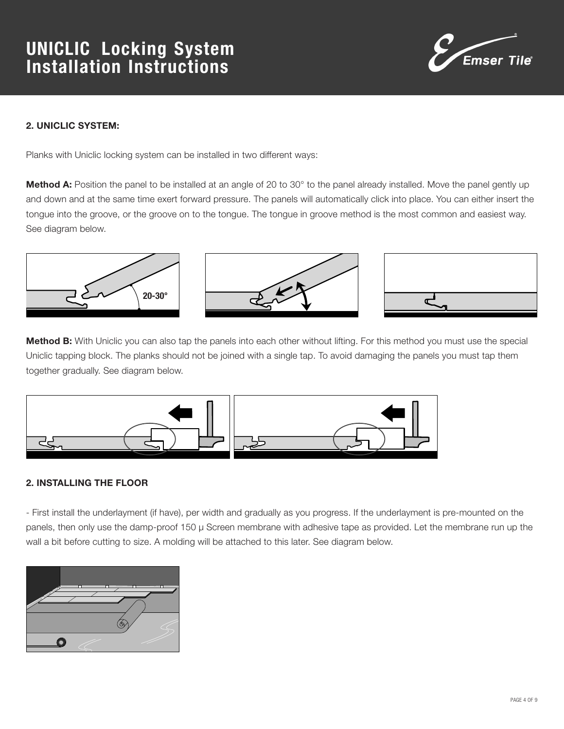

### 2. UNICLIC SYSTEM:

Planks with Uniclic locking system can be installed in two different ways:

Method A: Position the panel to be installed at an angle of 20 to 30° to the panel already installed. Move the panel gently up and down and at the same time exert forward pressure. The panels will automatically click into place. You can either insert the tongue into the groove, or the groove on to the tongue. The tongue in groove method is the most common and easiest way. See diagram below.



Method B: With Uniclic you can also tap the panels into each other without lifting. For this method you must use the special Uniclic tapping block. The planks should not be joined with a single tap. To avoid damaging the panels you must tap them together gradually. See diagram below.



### 2. INSTALLING THE FLOOR

- First install the underlayment (if have), per width and gradually as you progress. If the underlayment is pre-mounted on the panels, then only use the damp-proof 150 μ Screen membrane with adhesive tape as provided. Let the membrane run up the wall a bit before cutting to size. A molding will be attached to this later. See diagram below.

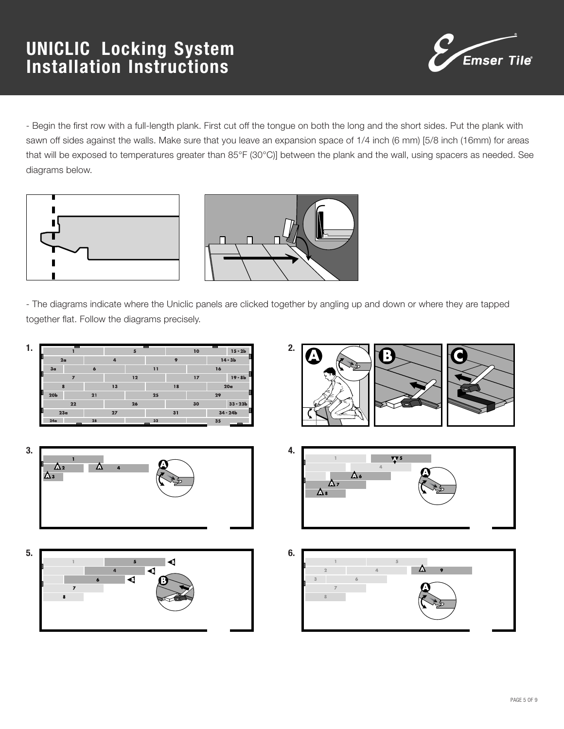

- Begin the first row with a full-length plank. First cut off the tongue on both the long and the short sides. Put the plank with sawn off sides against the walls. Make sure that you leave an expansion space of 1/4 inch (6 mm) [5/8 inch (16mm) for areas that will be exposed to temperatures greater than 85°F (30°C)] between the plank and the wall, using spacers as needed. See diagrams below.





- The diagrams indicate where the Uniclic panels are clicked together by angling up and down or where they are tapped together flat. Follow the diagrams precisely.

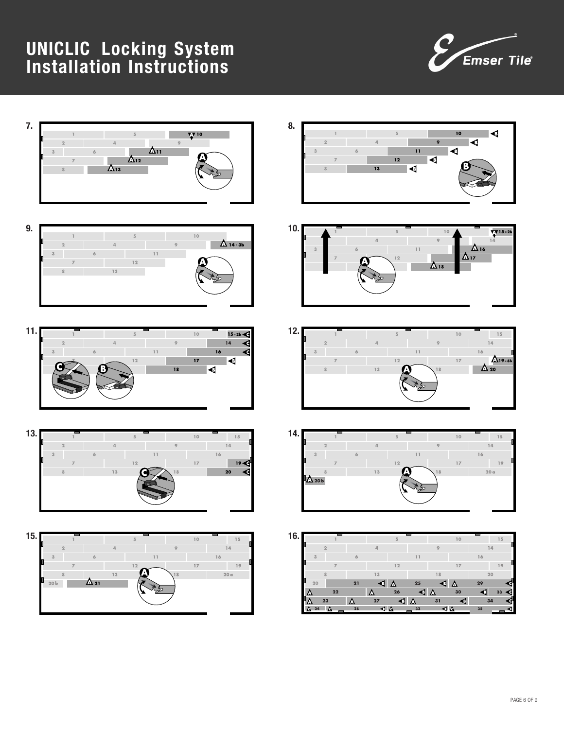



















|     | 24<br>۵ | А              | 28 | ⊲∆             |                      | 32             | ⊲ ∆      |    | 35 |    |  |
|-----|---------|----------------|----|----------------|----------------------|----------------|----------|----|----|----|--|
|     | Δ       | 23             | Δ  | 27             | $\blacktriangleleft$ | Δ              | 31       | G  |    | 34 |  |
|     | Δ       | 22             |    | Δ              | 26                   | $\blacksquare$ | $\Delta$ | 30 | ß  | 33 |  |
|     | 20      |                | 21 | ◀              | Δ                    | 25             | ◀        | Δ  | 29 |    |  |
|     |         | 8              |    | 13             |                      |                | 18       |    |    | 20 |  |
|     |         | <b>z</b>       |    |                | 12                   |                |          | 17 |    | 19 |  |
|     | 3       |                | 6  |                |                      | 11             |          |    | 16 |    |  |
|     |         | $\overline{a}$ |    | $\overline{a}$ |                      |                | 9        |    |    | 14 |  |
| 16. |         |                |    |                | 5                    |                |          | 10 |    | 15 |  |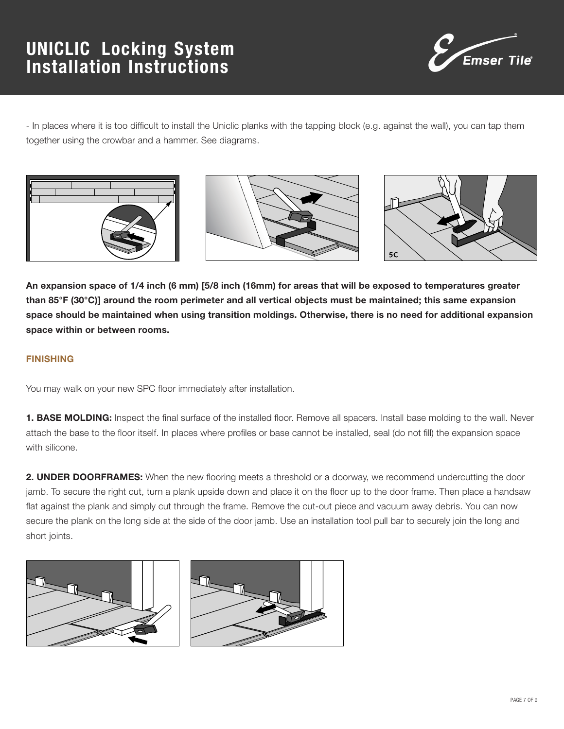

- In places where it is too difficult to install the Uniclic planks with the tapping block (e.g. against the wall), you can tap them together using the crowbar and a hammer. See diagrams.







An expansion space of 1/4 inch (6 mm) [5/8 inch (16mm) for areas that will be exposed to temperatures greater than 85°F (30°C)] around the room perimeter and all vertical objects must be maintained; this same expansion space should be maintained when using transition moldings. Otherwise, there is no need for additional expansion space within or between rooms.

#### FINISHING

You may walk on your new SPC floor immediately after installation.

1. BASE MOLDING: Inspect the final surface of the installed floor. Remove all spacers. Install base molding to the wall. Never attach the base to the floor itself. In places where profiles or base cannot be installed, seal (do not fill) the expansion space with silicone.

2. UNDER DOORFRAMES: When the new flooring meets a threshold or a doorway, we recommend undercutting the door jamb. To secure the right cut, turn a plank upside down and place it on the floor up to the door frame. Then place a handsaw flat against the plank and simply cut through the frame. Remove the cut-out piece and vacuum away debris. You can now secure the plank on the long side at the side of the door jamb. Use an installation tool pull bar to securely join the long and short joints.



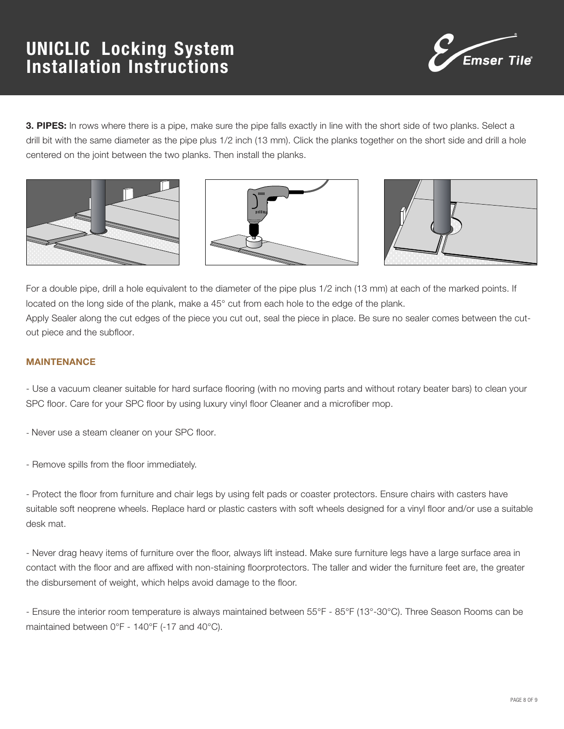

3. PIPES: In rows where there is a pipe, make sure the pipe falls exactly in line with the short side of two planks. Select a drill bit with the same diameter as the pipe plus 1/2 inch (13 mm). Click the planks together on the short side and drill a hole centered on the joint between the two planks. Then install the planks.







For a double pipe, drill a hole equivalent to the diameter of the pipe plus 1/2 inch (13 mm) at each of the marked points. If located on the long side of the plank, make a 45° cut from each hole to the edge of the plank. Apply Sealer along the cut edges of the piece you cut out, seal the piece in place. Be sure no sealer comes between the cutout piece and the subfloor.

#### MAINTENANCE

- Use a vacuum cleaner suitable for hard surface flooring (with no moving parts and without rotary beater bars) to clean your SPC floor. Care for your SPC floor by using luxury vinyl floor Cleaner and a microfiber mop.

- Never use a steam cleaner on your SPC floor.

- Remove spills from the floor immediately.

- Protect the floor from furniture and chair legs by using felt pads or coaster protectors. Ensure chairs with casters have suitable soft neoprene wheels. Replace hard or plastic casters with soft wheels designed for a vinyl floor and/or use a suitable desk mat.

- Never drag heavy items of furniture over the floor, always lift instead. Make sure furniture legs have a large surface area in contact with the floor and are affixed with non-staining floorprotectors. The taller and wider the furniture feet are, the greater the disbursement of weight, which helps avoid damage to the floor.

- Ensure the interior room temperature is always maintained between 55°F - 85°F (13°-30°C). Three Season Rooms can be maintained between 0°F - 140°F (-17 and 40°C).